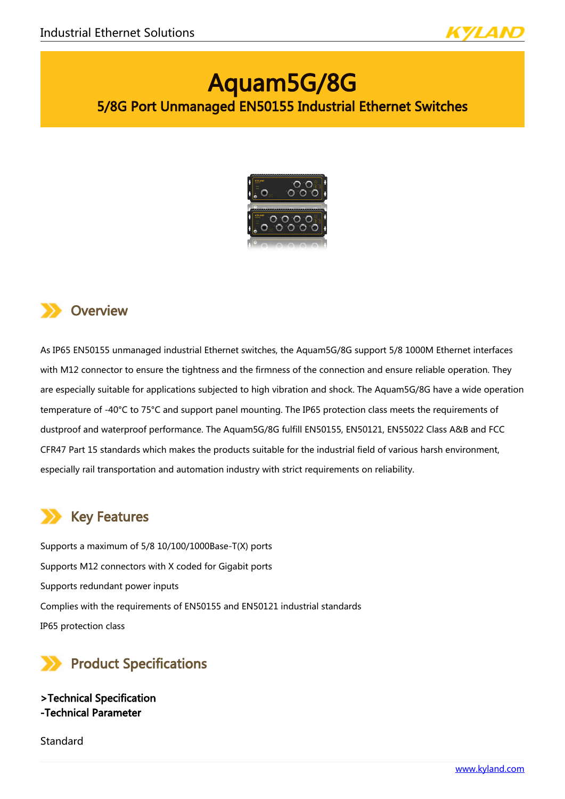

# Aquam5G/8G 5/8G Port Unmanaged EN50155 Industrial Ethernet Switches



## **Overview**

As IP65 EN50155 unmanaged industrial Ethernet switches, the Aquam5G/8G support 5/8 1000M Ethernet interfaces with M12 connector to ensure the tightness and the firmness of the connection and ensure reliable operation. They are especially suitable for applications subjected to high vibration and shock. The Aquam5G/8G have a wide operation temperature of -40°C to 75°C and support panel mounting. The IP65 protection class meets the requirements of dustproof and waterproof performance. The Aquam5G/8G fulfill EN50155, EN50121, EN55022 Class A&B and FCC CFR47 Part 15 standards which makes the products suitable for the industrial field of various harsh environment, especially rail transportation and automation industry with strict requirements on reliability.

## Key Features

Supports a maximum of 5/8 10/100/1000Base-T(X) ports Supports M12 connectors with X coded for Gigabit ports Supports redundant power inputs Complies with the requirements of EN50155 and EN50121 industrial standards IP65 protection class



>Technical Specification -Technical Parameter

**Standard**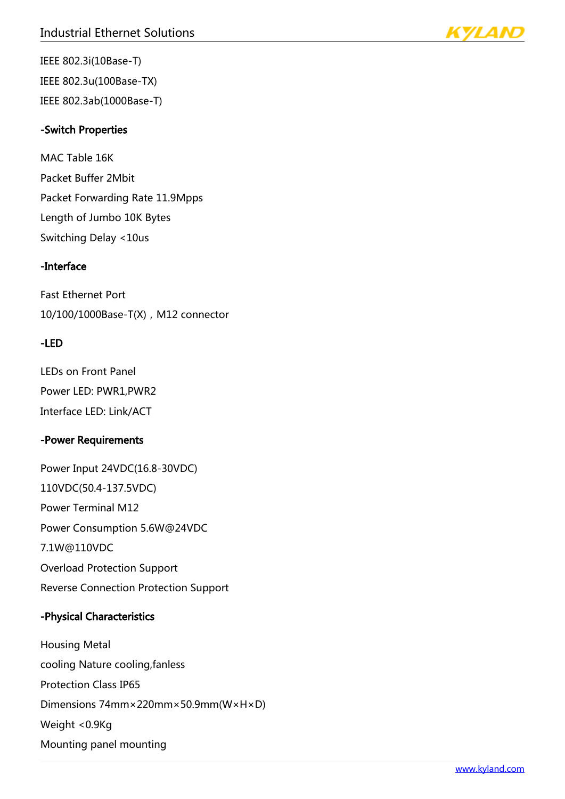

IEEE 802.3i(10Base-T) IEEE 802.3u(100Base-TX) IEEE 802.3ab(1000Base-T)

### -Switch Properties

MAC Table 16K Packet Buffer 2Mbit Packet Forwarding Rate 11.9Mpps Length of Jumbo 10K Bytes Switching Delay <10us

## -Interface

Fast Ethernet Port 10/100/1000Base-T(X), M12 connector

### -LED

LEDs on Front Panel Power LED: PWR1,PWR2 Interface LED: Link/ACT

## -Power Requirements

Power Input 24VDC(16.8-30VDC) 110VDC(50.4-137.5VDC) Power Terminal M12 Power Consumption 5.6W@24VDC 7.1W@110VDC Overload Protection Support Reverse Connection Protection Support

## -Physical Characteristics

Housing Metal cooling Nature cooling,fanless Protection Class IP65 Dimensions 74mm×220mm×50.9mm(W×H×D) Weight <0.9Kg Mounting panel mounting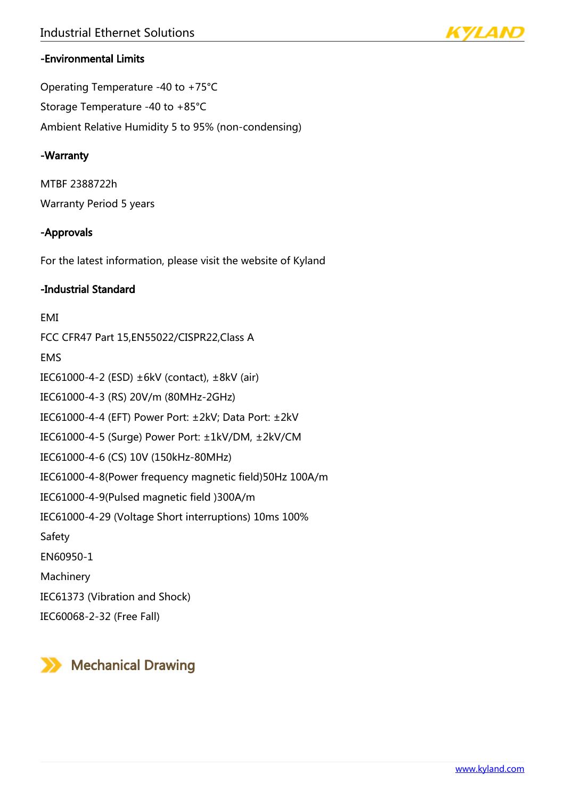

## -Environmental Limits

Operating Temperature -40 to +75°C Storage Temperature -40 to +85°C Ambient Relative Humidity 5 to 95% (non-condensing)

### -Warranty

MTBF 2388722h Warranty Period 5 years

### -Approvals

For the latest information, please visit the website of Kyland

## -Industrial Standard

### EMI

FCC CFR47 Part 15,EN55022/CISPR22,Class A EMS IEC61000-4-2 (ESD) ±6kV (contact), ±8kV (air) IEC61000-4-3 (RS) 20V/m (80MHz-2GHz) IEC61000-4-4 (EFT) Power Port: ±2kV; Data Port: ±2kV IEC61000-4-5 (Surge) Power Port: ±1kV/DM, ±2kV/CM IEC61000-4-6 (CS) 10V (150kHz-80MHz) IEC61000-4-8(Power frequency magnetic field)50Hz 100A/m IEC61000-4-9(Pulsed magnetic field )300A/m IEC61000-4-29 (Voltage Short interruptions) 10ms 100% Safety EN60950-1 Machinery IEC61373 (Vibration and Shock)

IEC60068-2-32 (Free Fall)

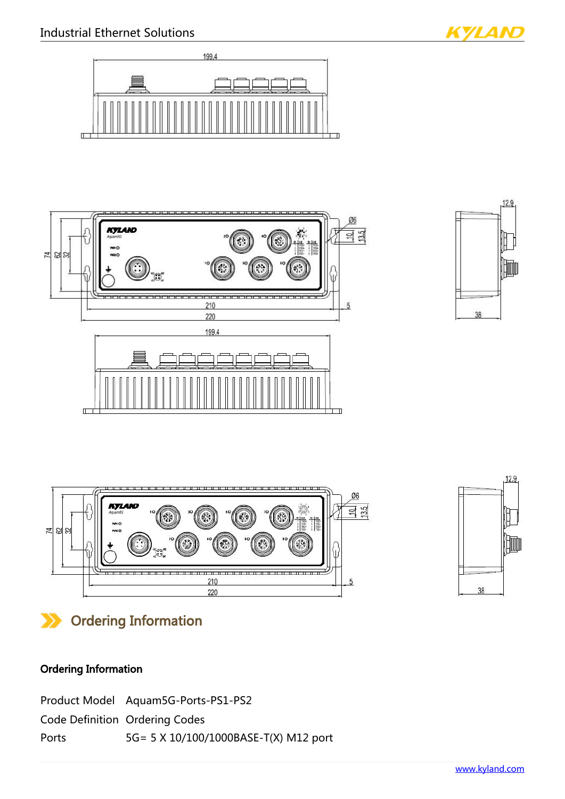





KYLAN





## Ordering Information

## Ordering Information

|       | Product Model Aquam5G-Ports-PS1-PS2   |
|-------|---------------------------------------|
|       | <b>Code Definition Ordering Codes</b> |
| Ports | 5G= 5 X 10/100/1000BASE-T(X) M12 port |